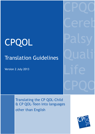## CPQOL

## Translation Guidelines

Version 2 July 2013

CPQO Ceret Palsy Quality Life CPQO

Translating the CP QOL-Child & CP QOL-Teen into languages other than English

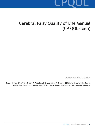# CPQOL

## Cerebral Palsy Quality of Life Manual (CP QOL-Teen)

Recommended Citation

Davis E, Davern M, Waters E, Boyd R, Reddihough D, Mackinnon A, Graham HK (2013). Cerebral Palsy Quality of Life Questionnaire for Adolescents (CP QOL-Teen) Manual. Melbourne: University of Melbourne.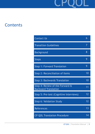

## **Contents**

| <b>Contact Us</b>                                              | 6  |
|----------------------------------------------------------------|----|
| <b>Tranaltion Guidelines</b>                                   | 7  |
| <b>Background</b>                                              | 8  |
| <b>Steps</b>                                                   | 9  |
| <b>Step 1: Forward Translation</b>                             | 9  |
| <b>Step 2: Reconciliation of Items</b>                         | 10 |
| <b>Step 3: Backwards Translation</b>                           | 10 |
| Step 4: Review of the Forward &<br><b>Backward Translation</b> | 11 |
| Step 5: Pre-test (Cognitive Interviews)                        | 12 |
| Step 6: Validation Study                                       | 12 |
| <b>References</b>                                              | 13 |
| <b>CP QOL Translation Procedure</b>                            | 14 |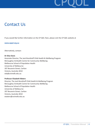

## Contact Us

If you would like further information on the CP QOL-Teen, please visit the CP QOL website at

#### **www.cpqol.org.au**

Alternatively, contact:

#### **Dr Elise Davis**

Associate Director, The Jack Brockhoff Child Health & Wellbeing Program McCaughey VicHealth Centre for Community Wellbeing Melbourne School of Population Health University of Melbourne 207 Bouverie Street, Carlton Victoria, Australia 3010 eda@unimelb.edu.au

#### **Professor Elizabeth Waters**

Director, The Jack Brockhoff Child Health & Wellbeing Program McCaughey VicHealth Centre for Community Wellbeing Melbourne School of Population Health University of Melbourne 207 Bouverie Street, Carlton Victoria, Australia 3010 ewaters@unimelb.edu.au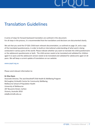

## Translation Guidelines

A series of steps for forward backward translation are outlined in this document. For all steps in the process, it is recommended that the translations and decisions are documented clearly.

We ask that you send the CP QOL-Child team relevant documentation, as outlined on page 14, and a copy of the translated questionnaires, in order to build an international understanding of what work is being conducted in various parts of the world. Please indicate whether you want to translate the child questionnaire or the adolescent questionnaire or both. The child version needs to be translated and validated for children aged 4-12 years and the adolescent version needs to be translated and validated for adolescents aged 13-18 years. We will keep a current update of translations on our website:

#### www.cpqol.org.au

Please send relevant information to:

#### **Dr Elise Davis**

Associate Director, The Jack Brockhoff Child Health & Wellbeing Program McCaughey VicHealth Centre for Community Wellbeing Melbourne School of Population Health University of Melbourne 207 Bouverie Street, Carlton Victoria, Australia 3010 eda@unimelb.edu.au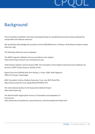

## Background

These translation guidelines have been developed based on standardised processes being employed for comparable international measures.

We specifically acknowledge the assistance of the KIDSCREEN team: Professor Ulrike Ravens-Sieberer (www. kidscreen.org).

The following references were employed.

The MAPI Linguistic Validation Process provided on the website http://www.mapi-research-inst.com/lvprocess.asp.

Ulrike Ravens-Sieberer and Eva Noack 1996: The Translation of the English Colorectal Cancer Module into German; EORTC Study Group on Quality of Life.

Report from the EUROHIS Mid-Term Review, 2-4 Nov. 2000, WHO Regional Office for Europe, Copenhagen

MOS Translation Criteria, Medical Outcomes Trust, July 1997 BULLETIN; http://www.outcomes-trust.org/bulletin/0797blltn.htm

The International Quality of Life Assessment (IQOLA) Project http://www.iqola.org

The World Health Organisation Process of Translation and Adaptation of Instruments http://www.who.int/substance\_abuse/research\_tools/translation/en/index.html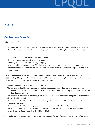

## **Steps**

### *Step 1: Forward Translation*

#### **Who should do it?**

Rather than solely being professionals in translation, the respective translators must have experience in test development and/or the research fields concerning Quality of Life in Children/Adolescents and/or cerebral palsy.

The translators need to have the following qualifications:

- Native speakers of the respective target language;
- Knowledge of both English and the target language;
- Familiarity with the cultures, both of English speaking countries as well as of the target countries;
- Experience in test development and/or in the content of the research fields concerning Quality of Life in Children/Adolescents.

**Two translators are to translate the CP QOL questionnaire independently from each other into the respective target language.** The translators are asked to use natural and acceptable language for the broadest audience and to be simple, clear and concise in their formulations.

The following guidelines may be given to the translators:

- The translators should always focus on conceptual equivalence rather than on literal word-for-word translation. The translators should always try to grasp the most relevant meanings of the English terms and translate them accordingly.
- The translators should try to be simple, clear and concise in their formulations long sentences with many clauses should be avoided.
- The translators should take into account how the typical respondents (children and parents) will understand the items.
- The translators should take the age of the respondents into consideration and thus should not use any jargon or terms that would be difficult to understand. The translation has to be clear, simple and comprehensible. Double negatives should be avoided.

The two forward translators provide two forward translations; Forward Translation 1 and Forward Translation 2.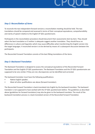# CPQOL

### *Step 2: Reconciliation of items*

To reconcile the two independent forward versions a reconciliation meeting should be held. The two translations should be compared and assessed in terms of their conceptual equivalence, comprehensibility and clarity of speech relative to the English CP QOL questionnaire.

Participants in the reconciliation procedure should document their assessments item by-item. They should select the best translation or if neither is adequate suggest another translation. They should focus on differences in culture and linguistics which may cause difficulties when transforming the English version into the target languages. A reconciled version is to be derived by means of a subsequent discussion between the participants.

The Reconciled Forward Translation consists of the best fitting translations of the items.

### *Step 3: Backward Translation*

The Backward Translation is designed to assess the conceptual equivalence of the Reconciled Forward Translation and the English CP QOL questionnaire. The Backward Translation and the CP QOL questionnaire are supposed to be very similar. If they are not, discrepancies can be identified and corrected.

The backward-translator must have the following qualifications:

- Native English speaker;
- Meet all other qualifications see above (forward translator).

The Reconciled Forward Translation is back-translated into English by the backward translator. The backward translator is not supposed to have worked with the CP QOL questionnaire before. The guidelines as described above (guidelines for forward translators) may also be given to the backward translator. The result of the backward-translation-process is a back-translated version of the Reconciled Forward Translation.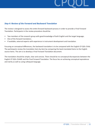

## *Step 4: Review of the Forward and Backward Translation*

The review is designed to assess the entire forward-backward-process in order to provide a Final Forward Translation. Participants in the review procedure should be:

- Two members of the research group with good knowledge of both English and the target language;
- One of the forward translators;
- If available, external experts with experience in instrument development and translation.

Focusing on conceptual differences, the backward translation is to be compared with the English CP QOL-Child. The participants review the translation item-by-item by comparing the back-translated items to the English source items. The aim is to develop a Final Forward Translation document.

The translation should be simple, clear and concise. There should be no conceptual discrepancies between the English CP QOL-Child© and the Final Forward Translation. The focus lies on achieving conceptual equivalence and clarity as well as using colloquial language.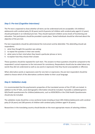

## *Step 5: Pre-test (Cognitive Interviews)*

The Pre-test is expected to show whether all items can be understood and are acceptable. 6-8 children/ adolescents with cerebral palsy (9-18 years) and 6-8 parents (of children with cerebral palsy aged 4-12 years) should participate in an individual pre-test. They should represent children across levels of functioning and education. Test participants should be provided a quiet place. Tested individuals should be informed about the objective of the pre-test.

Pre-test respondents should be administered the instrument and be debriefed. This debriefing should ask respondents:

- 1. what they thought the question was asking;
- 2. to repeat the question in their own words;
- 3. what came to their mind when they heard a particular phrase or term;
- 4. to explain how they choose their answer.

These questions should be repeated for each item. The answers to these questions should be compared to the respondent's actual responses to the instrument for consistency. Respondents should also be asked about any words they did not understand as well as any word or expression that they found unacceptable or offensive.

When alternative words or expressions exist for one item or expression, the pre-test respondent should be asked to choose which of the alternatives conforms better to their usual language.

### *Step 6: Validation study*

It is recommended that the psychometric properties of the translated version of the CP QOL are tested. In addition to the CP QOL, socio-demographic information should be included. If possible a validated generic QOL/health questionnaire for children/adolescents, such as KIDSCREEN or the Child Health Questionnaire should also be included.

The validation study should be a cross-sectional study including at least 200 children/adolescents with cerebral palsy (9-18 years) and 200 parents of children with cerebral palsy (children aged 4-18 years).

Researchers in the translating country should decide on the most appropriate means of selecting children.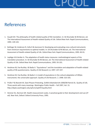

## References

- 1. Guyatt GH. The philosophy of health-related quality of life translation. In: SA Shumaker & RA Berzon, ed. The International Assessment of Health-related Quality of Life. Oxford New York: Rapid Communications, 1995: 139-143.
- 2. Bullinger M, Anderson R, Cella D & Aaronson N. Developing and evaluating cross cultural instruments from minimum requirements to optimal models. In: SA Shumaker & RA Berzon, ed. The International Assessment of Health-related Quality of Life. Oxford New York: Rapid Communications, 1995: 83-91.
- 3. Leplège A & Verdier A. The adaptation of health status measures: methodological aspects of the translation procedure. In: SA Shumaker & RA Berzon, ed. The International Assessment of Health-related Quality of Life. Oxford New York: Rapid Communications, 1995: 93-101.
- 4. Herdman M, Fox-Rushby J & Badia X. "Equivalence" and the translation and adaptation of health-related quality of life questionnaires. Quality of Life Research ,6, 1997: 237-247.
- 5. Herdman M, Fox-Rushby J & Badia X. A model of equivalence in the cultural adaptation of HRQoL instruments: the universalist approach. Quality of Life Research ,7, 1998: 323-335.
- 6. Prüfer P & Rexroth M. Zwei-Phasen-Pretesting. ZUMA-Arbeitsbericht 2000/08 Patrick DL. Quality of Life. Three words with many meanings. Washington Public Health – Fall 1997, Vol. 15. http://depts.washington.edu/sphcm/wph97/quality.html
- 7. Streiner DL, Norman GR. Health measurement scales. A practical guide to their development and use (2ª ed). New York, Oxford: Oxford University Press, 1995.